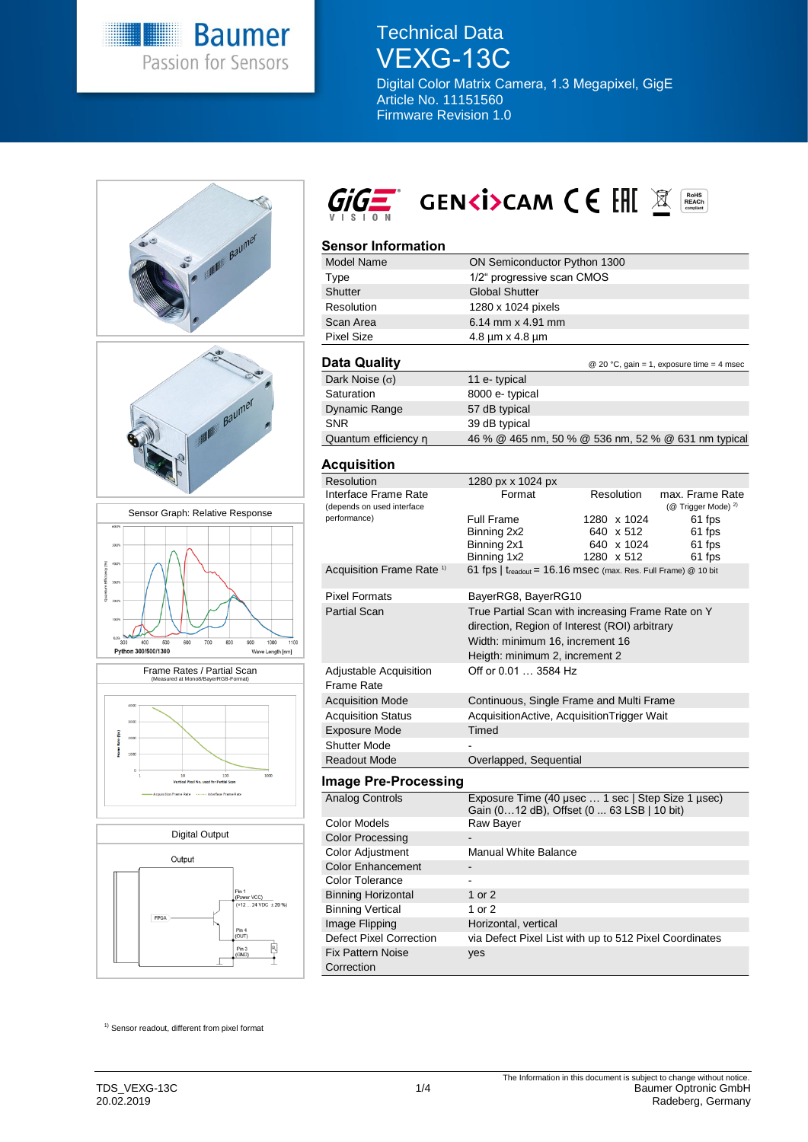

Technical Data VEXG-13C

Digital Color Matrix Camera, 1.3 Megapixel, GigE Article No. 11151560 Firmware Revision 1.0





## **Sensor Information**

| <b>Model Name</b>          | ON Semiconductor Python 1300                        |             |                                           |  |
|----------------------------|-----------------------------------------------------|-------------|-------------------------------------------|--|
| Type                       | 1/2" progressive scan CMOS                          |             |                                           |  |
| <b>Shutter</b>             | <b>Global Shutter</b>                               |             |                                           |  |
| Resolution                 | 1280 x 1024 pixels                                  |             |                                           |  |
| Scan Area                  | 6.14 mm $\times$ 4.91 mm                            |             |                                           |  |
| <b>Pixel Size</b>          | $4.8 \mu m \times 4.8 \mu m$                        |             |                                           |  |
|                            |                                                     |             |                                           |  |
| Data Quality               |                                                     |             | @ 20 °C, gain = 1, exposure time = 4 msec |  |
| Dark Noise $(\sigma)$      | 11 e-typical                                        |             |                                           |  |
| Saturation                 | 8000 e- typical                                     |             |                                           |  |
| Dynamic Range              | 57 dB typical                                       |             |                                           |  |
| <b>SNR</b>                 | 39 dB typical                                       |             |                                           |  |
| Quantum efficiency n       | 46 % @ 465 nm, 50 % @ 536 nm, 52 % @ 631 nm typical |             |                                           |  |
|                            |                                                     |             |                                           |  |
| <b>Acquisition</b>         |                                                     |             |                                           |  |
| <b>Resolution</b>          | 1280 px x 1024 px                                   |             |                                           |  |
| Interface Frame Rate       | Resolution<br>Format<br>max. Frame Rate             |             |                                           |  |
| (depends on used interface | (@ Trigger Mode) <sup>2)</sup>                      |             |                                           |  |
| performance)               | Full Frame                                          | 1280 x 1024 | 61 fps                                    |  |
|                            | Binning 2x2                                         | 640 x 512   | 61 fps                                    |  |
|                            | Binning 2x1                                         | 640 x 1024  | 61 fps                                    |  |

|                                             | Binning 1x2                                                                                                                                                             | 1280 x 512 | 61 fps |
|---------------------------------------------|-------------------------------------------------------------------------------------------------------------------------------------------------------------------------|------------|--------|
| Acquisition Frame Rate <sup>1)</sup>        | 61 fps   $t_{\text{readout}}$ = 16.16 msec (max. Res. Full Frame) @ 10 bit                                                                                              |            |        |
| <b>Pixel Formats</b>                        | BayerRG8, BayerRG10                                                                                                                                                     |            |        |
| Partial Scan                                | True Partial Scan with increasing Frame Rate on Y<br>direction, Region of Interest (ROI) arbitrary<br>Width: minimum 16, increment 16<br>Heigth: minimum 2, increment 2 |            |        |
| <b>Adjustable Acquisition</b><br>Frame Rate | Off or 0.01  3584 Hz                                                                                                                                                    |            |        |
| <b>Acquisition Mode</b>                     | Continuous, Single Frame and Multi Frame                                                                                                                                |            |        |
| <b>Acquisition Status</b>                   | AcquisitionActive, AcquisitionTrigger Wait                                                                                                                              |            |        |
| <b>Exposure Mode</b>                        | Timed                                                                                                                                                                   |            |        |
| Shutter Mode                                |                                                                                                                                                                         |            |        |
| <b>Readout Mode</b>                         | Overlapped, Sequential                                                                                                                                                  |            |        |
|                                             |                                                                                                                                                                         |            |        |

#### **Image Pre-Processing**

| Analog Controls                        | Exposure Time (40 usec  1 sec   Step Size 1 usec)<br>Gain (012 dB), Offset (0 63 LSB   10 bit) |
|----------------------------------------|------------------------------------------------------------------------------------------------|
| Color Models                           | Raw Bayer                                                                                      |
| <b>Color Processing</b>                |                                                                                                |
| Color Adjustment                       | <b>Manual White Balance</b>                                                                    |
| <b>Color Enhancement</b>               |                                                                                                |
| Color Tolerance                        |                                                                                                |
| <b>Binning Horizontal</b>              | 1 or 2                                                                                         |
| <b>Binning Vertical</b>                | 1 or 2                                                                                         |
| Image Flipping                         | Horizontal, vertical                                                                           |
| Defect Pixel Correction                | via Defect Pixel List with up to 512 Pixel Coordinates                                         |
| <b>Fix Pattern Noise</b><br>Correction | yes                                                                                            |

<sup>1)</sup> Sensor readout, different from pixel format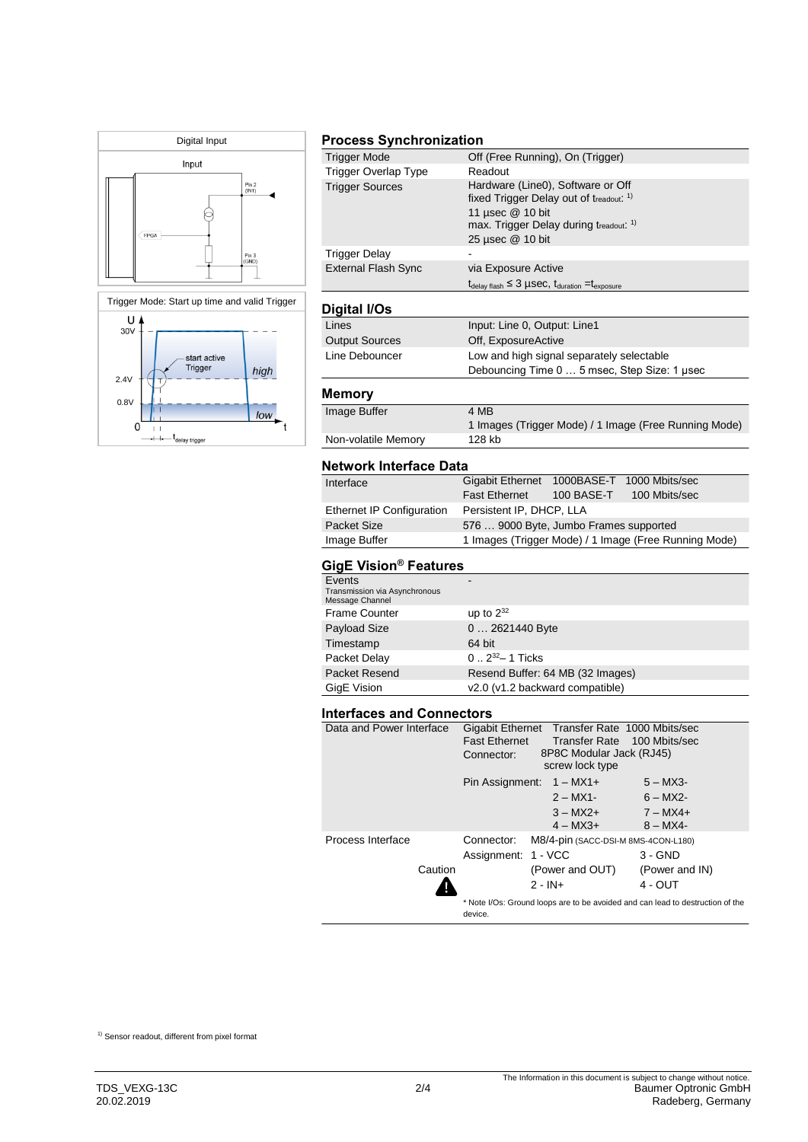



## **Process Synchronization**

| <b>Trigger Mode</b>        | Off (Free Running), On (Trigger)                                                  |
|----------------------------|-----------------------------------------------------------------------------------|
| Trigger Overlap Type       | Readout                                                                           |
| <b>Trigger Sources</b>     | Hardware (Line0), Software or Off                                                 |
|                            | fixed Trigger Delay out of treadout: 1)                                           |
|                            | 11 usec @ 10 bit                                                                  |
|                            | max. Trigger Delay during treadout. <sup>1)</sup>                                 |
|                            | 25 µsec @ 10 bit                                                                  |
| <b>Trigger Delay</b>       |                                                                                   |
| <b>External Flash Sync</b> | via Exposure Active                                                               |
|                            | $t_{\text{delay flash}} \leq 3$ µSeC, $t_{\text{duration}} = t_{\text{exposure}}$ |
|                            |                                                                                   |
| Digital I/Os               |                                                                                   |
| Lines                      | Input: Line 0, Output: Line1                                                      |
| <b>Output Sources</b>      | Off, ExposureActive                                                               |
| Line Debouncer             | Low and high signal separately selectable                                         |
|                            | Debouncing Time 0  5 msec, Step Size: 1 usec                                      |
| Memory                     |                                                                                   |
| Image Buffer               | 4 MB                                                                              |
|                            | 1 Images (Trigger Mode) / 1 Image (Free Running Mode)                             |
| Non-volatile Memory        | 128 kb                                                                            |
|                            |                                                                                   |

#### **Network Interface Data**

| Interface                        | Gigabit Ethernet 1000BASE-T 1000 Mbits/sec |                                                       |
|----------------------------------|--------------------------------------------|-------------------------------------------------------|
|                                  | Fast Ethernet 100 BASE-T                   | 100 Mbits/sec                                         |
| <b>Ethernet IP Configuration</b> | Persistent IP, DHCP, LLA                   |                                                       |
| Packet Size                      | 576  9000 Byte, Jumbo Frames supported     |                                                       |
| Image Buffer                     |                                            | 1 Images (Trigger Mode) / 1 Image (Free Running Mode) |
|                                  |                                            |                                                       |

## **GigE Vision® Features**

| Events<br>Transmission via Asynchronous<br>Message Channel |                                  |
|------------------------------------------------------------|----------------------------------|
| <b>Frame Counter</b>                                       | up to $2^{32}$                   |
| Payload Size                                               | 0  2621440 Byte                  |
| Timestamp                                                  | 64 bit                           |
| Packet Delay                                               | $0.2^{32} - 1$ Ticks             |
| Packet Resend                                              | Resend Buffer: 64 MB (32 Images) |
| GigE Vision                                                | v2.0 (v1.2 backward compatible)  |

#### **Interfaces and Connectors**

| Data and Power Interface<br><b>Fast Ethernet</b> |                                                           | Gigabit Ethernet Transfer Rate 1000 Mbits/sec | Transfer Rate 100 Mbits/sec                                                    |
|--------------------------------------------------|-----------------------------------------------------------|-----------------------------------------------|--------------------------------------------------------------------------------|
|                                                  | 8P8C Modular Jack (RJ45)<br>Connector:<br>screw lock type |                                               |                                                                                |
|                                                  |                                                           | Pin Assignment: $1 - MX1+$                    | $5 - MX3$                                                                      |
|                                                  |                                                           | $2 - MX1$ -                                   | $6 - MX2$ -                                                                    |
|                                                  |                                                           | $3 - MX2 +$                                   | $7 - MX4 +$                                                                    |
|                                                  |                                                           | $4 - MX3 +$                                   | $8 - MX4 -$                                                                    |
| Process Interface                                | Connector:                                                | M8/4-pin (SACC-DSI-M 8MS-4CON-L180)           |                                                                                |
|                                                  | Assignment: 1 - VCC                                       |                                               | $3 - GND$                                                                      |
| Caution                                          |                                                           | (Power and OUT)                               | (Power and IN)                                                                 |
|                                                  |                                                           | $2 - IN +$                                    | $4 - OUT$                                                                      |
|                                                  | device.                                                   |                                               | * Note I/Os: Ground loops are to be avoided and can lead to destruction of the |

1) Sensor readout, different from pixel format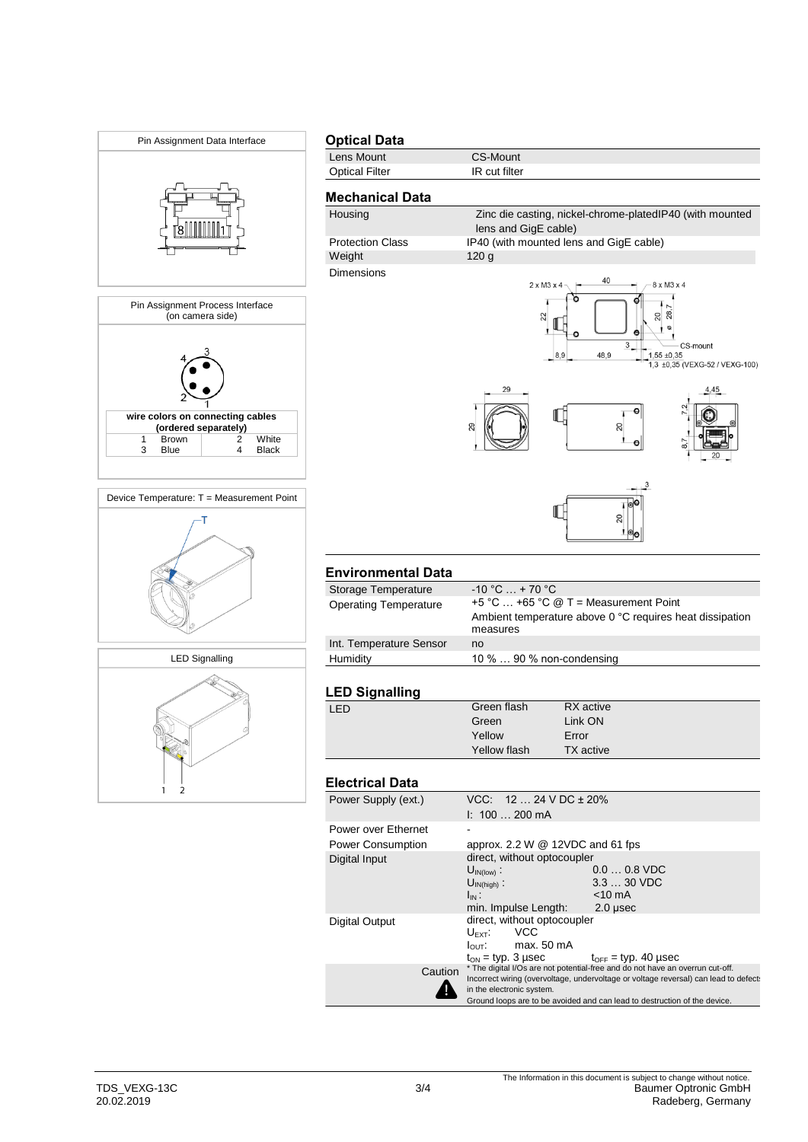